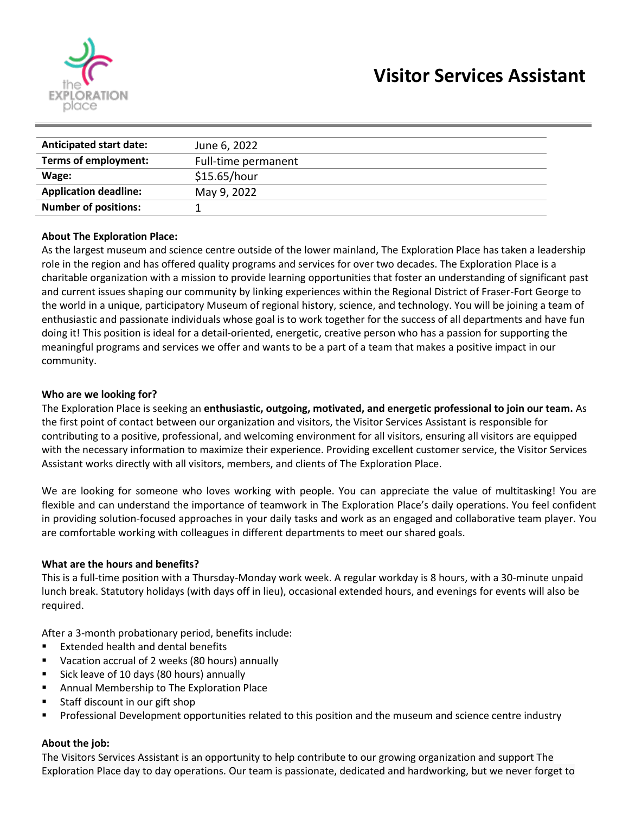

| <b>Anticipated start date:</b> | June 6, 2022        |
|--------------------------------|---------------------|
| Terms of employment:           | Full-time permanent |
| Wage:                          | \$15.65/hour        |
| <b>Application deadline:</b>   | May 9, 2022         |
| <b>Number of positions:</b>    |                     |
|                                |                     |

## **About The Exploration Place:**

As the largest museum and science centre outside of the lower mainland, The Exploration Place has taken a leadership role in the region and has offered quality programs and services for over two decades. The Exploration Place is a charitable organization with a mission to provide learning opportunities that foster an understanding of significant past and current issues shaping our community by linking experiences within the Regional District of Fraser-Fort George to the world in a unique, participatory Museum of regional history, science, and technology. You will be joining a team of enthusiastic and passionate individuals whose goal is to work together for the success of all departments and have fun doing it! This position is ideal for a detail-oriented, energetic, creative person who has a passion for supporting the meaningful programs and services we offer and wants to be a part of a team that makes a positive impact in our community.

## **Who are we looking for?**

The Exploration Place is seeking an **enthusiastic, outgoing, motivated, and energetic professional to join our team.** As the first point of contact between our organization and visitors, the Visitor Services Assistant is responsible for contributing to a positive, professional, and welcoming environment for all visitors, ensuring all visitors are equipped with the necessary information to maximize their experience. Providing excellent customer service, the Visitor Services Assistant works directly with all visitors, members, and clients of The Exploration Place.

We are looking for someone who loves working with people. You can appreciate the value of multitasking! You are flexible and can understand the importance of teamwork in The Exploration Place's daily operations. You feel confident in providing solution-focused approaches in your daily tasks and work as an engaged and collaborative team player. You are comfortable working with colleagues in different departments to meet our shared goals.

## **What are the hours and benefits?**

This is a full-time position with a Thursday-Monday work week. A regular workday is 8 hours, with a 30-minute unpaid lunch break. Statutory holidays (with days off in lieu), occasional extended hours, and evenings for events will also be required.

After a 3-month probationary period, benefits include:

- Extended health and dental benefits
- Vacation accrual of 2 weeks (80 hours) annually
- Sick leave of 10 days (80 hours) annually
- Annual Membership to The Exploration Place
- Staff discount in our gift shop
- Professional Development opportunities related to this position and the museum and science centre industry

#### **About the job:**

The Visitors Services Assistant is an opportunity to help contribute to our growing organization and support The Exploration Place day to day operations. Our team is passionate, dedicated and hardworking, but we never forget to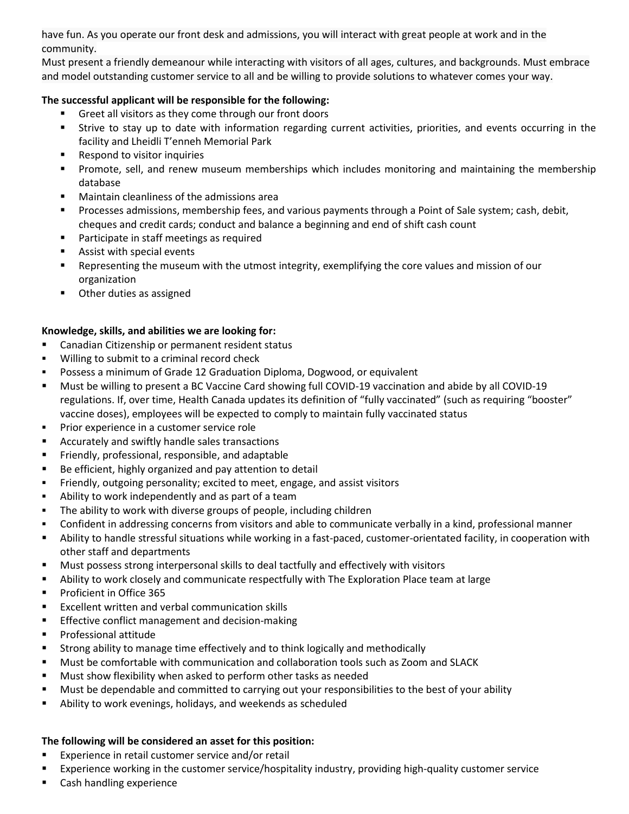have fun. As you operate our front desk and admissions, you will interact with great people at work and in the community.

Must present a friendly demeanour while interacting with visitors of all ages, cultures, and backgrounds. Must embrace and model outstanding customer service to all and be willing to provide solutions to whatever comes your way.

## **The successful applicant will be responsible for the following:**

- Greet all visitors as they come through our front doors
- Strive to stay up to date with information regarding current activities, priorities, and events occurring in the facility and Lheidli T'enneh Memorial Park
- Respond to visitor inquiries
- **•** Promote, sell, and renew museum memberships which includes monitoring and maintaining the membership database
- Maintain cleanliness of the admissions area
- Processes admissions, membership fees, and various payments through a Point of Sale system; cash, debit, cheques and credit cards; conduct and balance a beginning and end of shift cash count
- Participate in staff meetings as required
- Assist with special events
- Representing the museum with the utmost integrity, exemplifying the core values and mission of our organization
- Other duties as assigned

## **Knowledge, skills, and abilities we are looking for:**

- Canadian Citizenship or permanent resident status
- Willing to submit to a criminal record check
- Possess a minimum of Grade 12 Graduation Diploma, Dogwood, or equivalent
- Must be willing to present a BC Vaccine Card showing full COVID-19 vaccination and abide by all COVID-19 regulations. If, over time, Health Canada updates its definition of "fully vaccinated" (such as requiring "booster" vaccine doses), employees will be expected to comply to maintain fully vaccinated status
- **•** Prior experience in a customer service role
- Accurately and swiftly handle sales transactions
- Friendly, professional, responsible, and adaptable
- Be efficient, highly organized and pay attention to detail
- Friendly, outgoing personality; excited to meet, engage, and assist visitors
- Ability to work independently and as part of a team
- **•** The ability to work with diverse groups of people, including children
- Confident in addressing concerns from visitors and able to communicate verbally in a kind, professional manner
- Ability to handle stressful situations while working in a fast-paced, customer-orientated facility, in cooperation with other staff and departments
- **■** Must possess strong interpersonal skills to deal tactfully and effectively with visitors
- **EXECT Ability to work closely and communicate respectfully with The Exploration Place team at large**
- Proficient in Office 365
- Excellent written and verbal communication skills
- **Effective conflict management and decision-making**
- Professional attitude
- Strong ability to manage time effectively and to think logically and methodically
- Must be comfortable with communication and collaboration tools such as Zoom and SLACK
- Must show flexibility when asked to perform other tasks as needed
- Must be dependable and committed to carrying out your responsibilities to the best of your ability
- Ability to work evenings, holidays, and weekends as scheduled

# **The following will be considered an asset for this position:**

- Experience in retail customer service and/or retail
- Experience working in the customer service/hospitality industry, providing high-quality customer service
- Cash handling experience